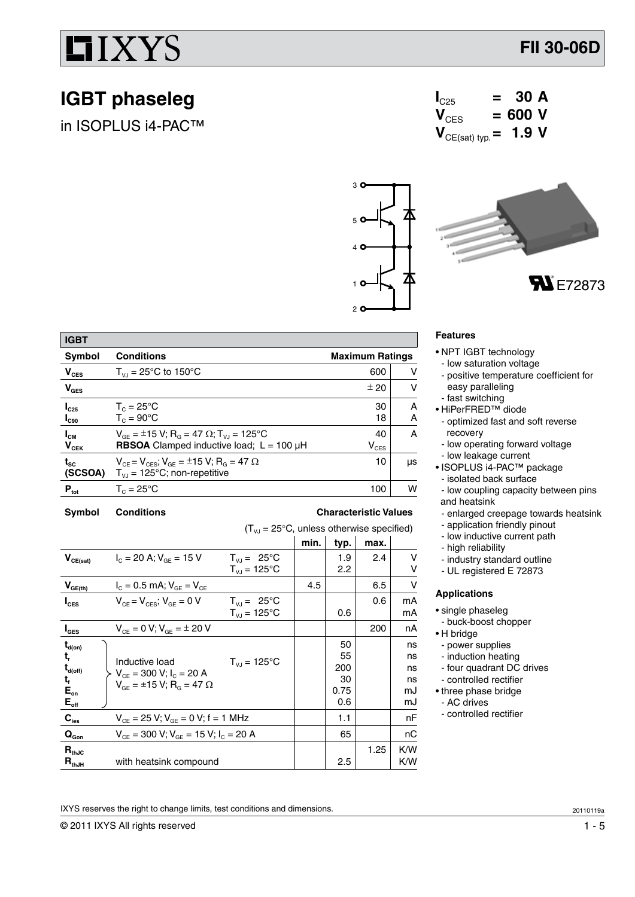## IIXYS

### **IGBT phaseleg**

in ISOPLUS i4-PAC™







| <b>IGBT</b>                  |                                                                                                                                      |                        |        |  |
|------------------------------|--------------------------------------------------------------------------------------------------------------------------------------|------------------------|--------|--|
| <b>Symbol</b>                | <b>Conditions</b>                                                                                                                    | <b>Maximum Ratings</b> |        |  |
| $V_{\text{CES}}$             | $T_{V1} = 25^{\circ}C$ to 150°C                                                                                                      | 600                    | v      |  |
| $V_{\text{GES}}$             |                                                                                                                                      | ± 20                   | v      |  |
| $I_{C25}$<br>$I_{C90}$       | $T_c = 25^{\circ}$ C<br>$T_c = 90^{\circ}$ C                                                                                         | 30<br>18               | A<br>А |  |
| $I_{\text{CM}}$<br>$V_{CEK}$ | $V_{GE} = \pm 15 V$ ; R <sub>G</sub> = 47 $\Omega$ ; T <sub>VJ</sub> = 125°C<br><b>RBSOA</b> Clamped inductive load; $L = 100 \mu H$ | 40<br>$V_{CES}$        | A      |  |
| $t_{\rm sc}$<br>(SCSOA)      | $V_{CE} = V_{CES}$ ; $V_{GE} = \pm 15$ V; R <sub>G</sub> = 47 $\Omega$<br>$T_{VJ}$ = 125°C; non-repetitive                           | 10                     | μs     |  |
| $P_{\text{tot}}$             | $T_c = 25^{\circ}$ C                                                                                                                 | 100                    | w      |  |

#### **Symbol Conditions Characteristic Values**

 $(T_{\nu J} = 25^{\circ}C$ , unless otherwise specified)

|                                         |                                                              |                        | min. | typ. | max. |     |
|-----------------------------------------|--------------------------------------------------------------|------------------------|------|------|------|-----|
| $V_{CE(sat)}$                           | $I_c = 20$ A; $V_{AF} = 15$ V                                | $T_{V1} = 25^{\circ}C$ |      | 1.9  | 2.4  | v   |
|                                         |                                                              | $T_{VJ} = 125$ °C      |      | 2.2  |      | v   |
| $V_{GE(th)}$                            | $I_c = 0.5$ mA; $V_{GE} = V_{CE}$                            |                        | 4.5  |      | 6.5  | v   |
| $I_{\text{CES}}$                        | $V_{CE} = V_{CES}$ ; $V_{GE} = 0$ V                          | $T_{V1} = 25^{\circ}C$ |      |      | 0.6  | mA  |
|                                         |                                                              | $T_{V1}$ = 125°C       |      | 0.6  |      | mA  |
| $I_{\texttt{GES}}$                      | $V_{CF} = 0 V; V_{GF} = \pm 20 V$                            |                        |      |      | 200  | nA  |
| $\mathbf{t}_{\mathsf{d}(\mathsf{on})}$  |                                                              |                        |      | 50   |      | ns  |
| t,                                      | Inductive load                                               | $T_{V1}$ = 125°C       |      | 55   |      | ns  |
| $\mathbf{t}_{\mathsf{d}(\mathsf{off})}$ | $V_{CF}$ = 300 V; $I_C$ = 20 A                               |                        |      | 200  |      | ns  |
| t,                                      | $V_{\text{CF}} = \pm 15 \text{ V}; R_{\text{G}} = 47 \Omega$ |                        |      | 30   |      | ns  |
| $E_{on}$                                |                                                              |                        |      | 0.75 |      | mJ  |
| $E_{\text{off}}$                        |                                                              |                        |      | 0.6  |      | mJ  |
| $\mathbf{C}_{\mathrm{ies}}$             | $V_{CF}$ = 25 V; $V_{GF}$ = 0 V; f = 1 MHz                   |                        |      | 1.1  |      | nF  |
| $\mathbf{Q}_{\text{Gon}}$               | $V_{CF}$ = 300 V; $V_{GF}$ = 15 V; $I_{C}$ = 20 A            |                        |      | 65   |      | nС  |
| $\mathbf{R}_{\text{thJC}}$              |                                                              |                        |      |      | 1.25 | K/W |
| $R_{thJH}$                              | with heatsink compound                                       |                        |      | 2.5  |      | K/W |

### **Features**

- NPT IGBT technology
- low saturation voltage
- positive temperature coefficient for easy paralleling
- fast switching
- HiPerFRED™ diode
- optimized fast and soft reverse recovery
- low operating forward voltage
- low leakage current
- ISOPLUS i4-PAC™ package - isolated back surface
- low coupling capacity between pins and heatsink
- enlarged creepage towards heatsink
- application friendly pinout
- low inductive current path
- high reliability
- industry standard outline
- UL registered E 72873

#### **Applications**

- single phaseleg
- buck-boost chopper
- H bridge
- power supplies
- induction heating
- four quadrant DC drives
- controlled rectifier
- three phase bridge
- AC drives
- controlled rectifier

IXYS reserves the right to change limits, test conditions and dimensions.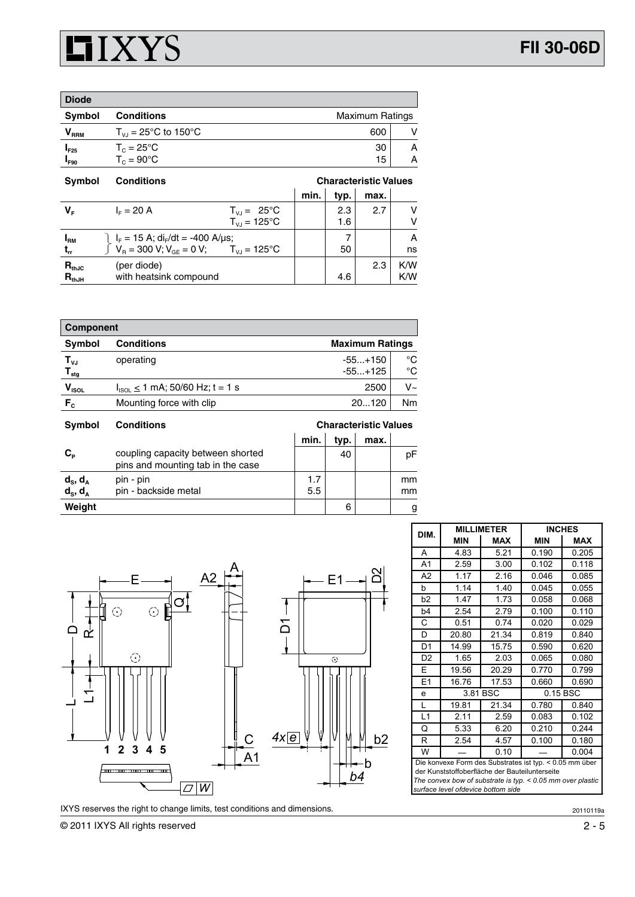

| <b>Diode</b>                |                                              |                        |   |
|-----------------------------|----------------------------------------------|------------------------|---|
| Symbol                      | <b>Conditions</b>                            | <b>Maximum Ratings</b> |   |
| $\mathsf{V}_{\mathsf{RRM}}$ | $T_{V1}$ = 25°C to 150°C                     | 600                    |   |
| $I_{F25}$                   | $T_c = 25^{\circ}$ C<br>$T_c = 90^{\circ}$ C | 30                     | Α |
| $I_{F90}$                   |                                              | 15                     | Α |

| <b>Symbol</b> | <b>Conditions</b>                                                                                                                                                                  |                         | <b>Characteristic Values</b> |      |      |     |
|---------------|------------------------------------------------------------------------------------------------------------------------------------------------------------------------------------|-------------------------|------------------------------|------|------|-----|
|               |                                                                                                                                                                                    |                         | min.                         | typ. | max. |     |
| $V_{\rm r}$   | $I_{E} = 20 A$                                                                                                                                                                     | $T_{VJ} = 25^{\circ}C$  |                              | 2.3  | 2.7  |     |
|               |                                                                                                                                                                                    | $T_{V1} = 125^{\circ}C$ |                              | 1.6  |      |     |
| $I_{\rm RM}$  |                                                                                                                                                                                    |                         |                              |      |      |     |
| $t_{rr}$      | $\begin{cases} I_F = 15 \text{ A}; \text{ di}_{F}/\text{ dt} = -400 \text{ A/µs}; \\ V_B = 300 \text{ V}; V_{GE} = 0 \text{ V}; \qquad T_{V,I} = 125^{\circ} \text{C} \end{cases}$ |                         |                              | 50   |      | ns  |
| $R_{thJC}$    | (per diode)                                                                                                                                                                        |                         |                              |      | 2.3  | K/W |
| $R_{thJH}$    | with heatsink compound                                                                                                                                                             |                         |                              | 4.6  |      | K/W |

| <b>Component</b>                         |                                        |                        |          |  |
|------------------------------------------|----------------------------------------|------------------------|----------|--|
| <b>Symbol</b>                            | <b>Conditions</b>                      | <b>Maximum Ratings</b> |          |  |
| $T_{\nu J}$<br>$\mathbf{T}_{\text{stg}}$ | operating                              | $-55+150$<br>$-55+125$ | °C<br>°C |  |
| $V_{ISOL}$                               | $I_{ISOL} \le 1$ mA; 50/60 Hz; t = 1 s | 2500                   | V~       |  |
| $F_c$                                    | Mounting force with clip               | 20120                  | Nm       |  |
|                                          |                                        |                        |          |  |

| <b>Symbol</b>                  | <b>Conditions</b>                                                      | <b>Characteristic Values</b> |      |      |          |
|--------------------------------|------------------------------------------------------------------------|------------------------------|------|------|----------|
|                                |                                                                        | min.                         | typ. | max. |          |
| $C_{\rm P}$                    | coupling capacity between shorted<br>pins and mounting tab in the case |                              | 40   |      | рF       |
| $d_s$ , $d_A$<br>$d_s$ , $d_A$ | pin - pin<br>pin - backside metal                                      | 1.7<br>5.5                   |      |      | mm<br>mm |
| Weight                         |                                                                        |                              | 6    |      | g        |



IXYS reserves the right to change limits, test conditions and dimensions.

|                |                                                                                                                                                                                                                 | <b>MILLIMETER</b> |            | INCHES     |
|----------------|-----------------------------------------------------------------------------------------------------------------------------------------------------------------------------------------------------------------|-------------------|------------|------------|
| DIM.           | <b>MIN</b>                                                                                                                                                                                                      | <b>MAX</b>        | <b>MIN</b> | <b>MAX</b> |
| A              | 4.83                                                                                                                                                                                                            | 5.21              | 0.190      | 0.205      |
| A1             | 2.59                                                                                                                                                                                                            | 3.00              | 0.102      | 0.118      |
| A2             | 1.17                                                                                                                                                                                                            | 2.16              | 0.046      | 0.085      |
| b              | 1.14                                                                                                                                                                                                            | 1.40              | 0.045      | 0.055      |
| b2             | 1.47                                                                                                                                                                                                            | 1.73              | 0.058      | 0.068      |
| b4             | 2.54                                                                                                                                                                                                            | 2.79              | 0.100      | 0.110      |
| C              | 0.51                                                                                                                                                                                                            | 0.74              | 0.020      | 0.029      |
| D              | 20.80                                                                                                                                                                                                           | 21.34             | 0.819      | 0.840      |
| D <sub>1</sub> | 14.99                                                                                                                                                                                                           | 15.75             | 0.590      | 0.620      |
| D <sub>2</sub> | 1.65                                                                                                                                                                                                            | 2.03              | 0.065      | 0.080      |
| E              | 19.56                                                                                                                                                                                                           | 20.29             | 0.770      | 0.799      |
| E1             | 16.76                                                                                                                                                                                                           | 17.53             | 0.660      | 0.690      |
| e              |                                                                                                                                                                                                                 | 3.81 BSC          |            | 0.15 BSC   |
| L              | 19.81                                                                                                                                                                                                           | 21.34             | 0.780      | 0.840      |
| L1             | 2.11                                                                                                                                                                                                            | 2.59              | 0.083      | 0.102      |
| Q              | 5.33                                                                                                                                                                                                            | 6.20              | 0.210      | 0.244      |
| R.             | 2.54                                                                                                                                                                                                            | 4.57              | 0.100      | 0.180      |
| W              |                                                                                                                                                                                                                 | 0.10              |            | 0.004      |
|                | Die konvexe Form des Substrates ist typ. < 0.05 mm über<br>der Kunststoffoberfläche der Bauteilunterseite<br>The convex bow of substrate is typ. $< 0.05$ mm over plastic<br>surface level ofdevice bottom side |                   |            |            |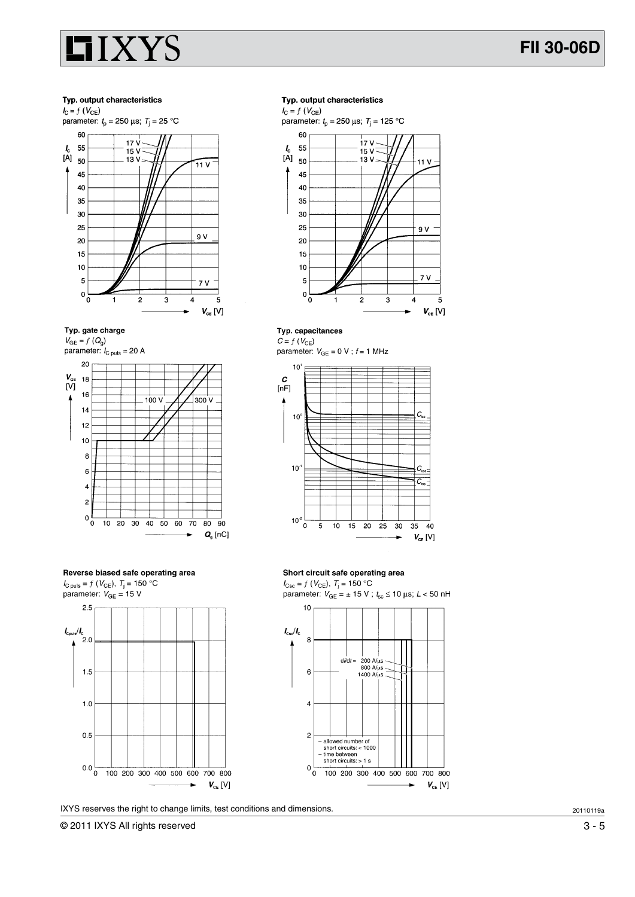

#### Typ. output characteristics





 $V_{GE} = f(Q_q)$ parameter:  $I_{\text{C puls}} = 20 \text{ A}$ 





IXYS reserves the right to change limits, test conditions and dimensions.

#### Typ. output characteristics

 $I_{\rm C}=f$  (  $V_{\rm CE})$ parameter:  $t_p = 250 \text{ }\mu\text{s}$ ;  $T_j = 125 \text{ }^{\circ}\text{C}$ 



#### Typ. capacitances

 $C = f(V_{CE})$ parameter:  $V_{GE} = 0 \text{ V}$ ;  $f = 1 \text{ MHz}$ 



#### Short circuit safe operating area

 $I_{\text{Csc}}=f$  (  $V_{\text{CE}}$  ),  $\, T_{\text{j}}=150 \ ^{\circ}\text{C}$ parameter:  $V_{GE} = \pm 15 \text{ V}$ ;  $t_{sc} \le 10 \text{ }\mu\text{s}$ ;  $L < 50 \text{ }\text{hH}$ 



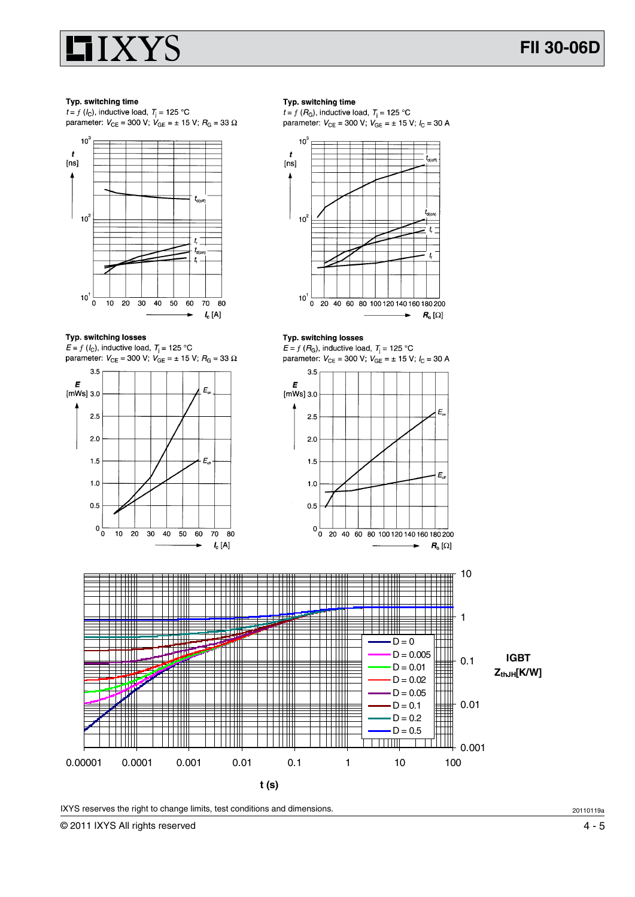

#### Typ. switching time

 $t = f(l<sub>C</sub>)$ , inductive load,  $T<sub>i</sub> = 125$  °C parameter:  $V_{CE}$  = 300 V;  $V_{GE}$  = ± 15 V;  $R_G$  = 33  $\Omega$ 



Typ. switching losses

 $E = f(l<sub>C</sub>)$ , inductive load,  $T<sub>i</sub> = 125 °C$ parameter:  $V_{\text{CE}} = 300 \text{ V}$ ;  $V_{\text{GE}} = \pm 15 \text{ V}$ ;  $R_{\text{G}} = 33 \Omega$ 



#### Typ. switching time

 $t = f(R_G)$ , inductive load,  $T_i = 125$  °C parameter:  $V_{CE}$  = 300 V;  $V_{GE}$  = ± 15 V;  $I_C$  = 30 A



#### Typ. switching losses

 $E = f(R_G)$ , inductive load,  $T_i = 125$  °C parameter:  $V_{CE} = 300$  V;  $V_{GE} = \pm 15$  V;  $I_C = 30$  A





IXYS reserves the right to change limits, test conditions and dimensions.